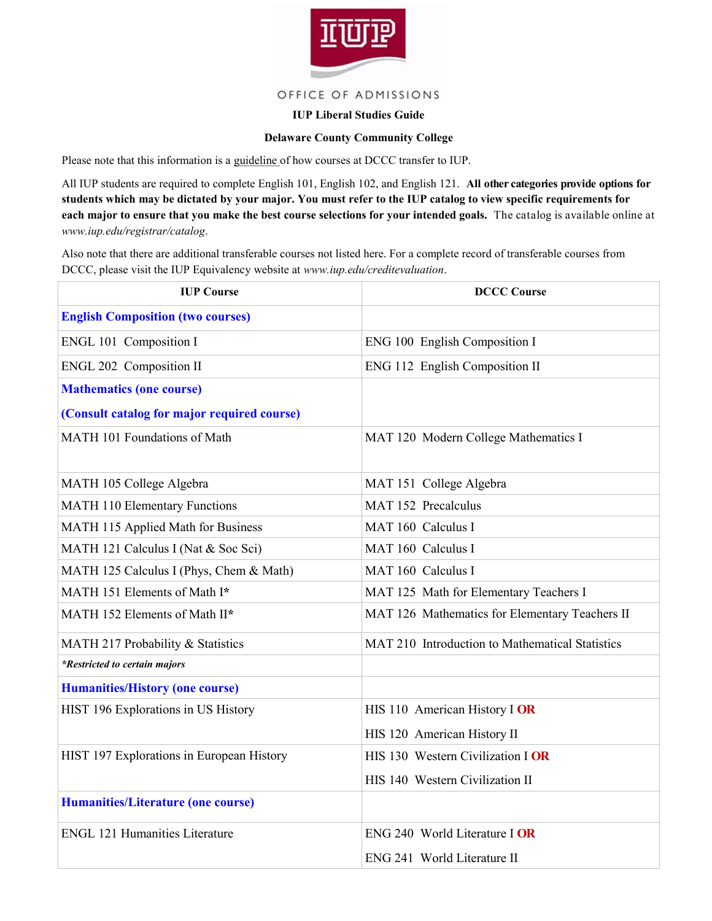

## OFFICE OF ADMISSIONS

## **IUP Liberal Studies Guide**

## **Delaware County Community College**

Please note that this information is a guideline of how courses at DCCC transfer to IUP.

All IUP students are required to complete English 101, English 102, and English 121. **All other categories provide options for students which may be dictated by your major. You must refer to the IUP catalog to view specific requirements for each major to ensure that you make the best course selections for your intended goals.** The catalog is available online at *www.iup.edu/registrar/catalog*.

Also note that there are additional transferable courses not listed here. For a complete record of transferable courses from DCCC, please visit the IUP Equivalency website at *www.iup.edu/creditevaluation*.

| <b>IUP Course</b>                           | <b>DCCC Course</b>                              |
|---------------------------------------------|-------------------------------------------------|
| <b>English Composition (two courses)</b>    |                                                 |
| ENGL 101 Composition I                      | ENG 100 English Composition I                   |
| ENGL 202 Composition II                     | ENG 112 English Composition II                  |
| <b>Mathematics (one course)</b>             |                                                 |
| (Consult catalog for major required course) |                                                 |
| MATH 101 Foundations of Math                | MAT 120 Modern College Mathematics I            |
| MATH 105 College Algebra                    | MAT 151 College Algebra                         |
| <b>MATH 110 Elementary Functions</b>        | MAT 152 Precalculus                             |
| MATH 115 Applied Math for Business          | MAT 160 Calculus I                              |
| MATH 121 Calculus I (Nat & Soc Sci)         | MAT 160 Calculus I                              |
| MATH 125 Calculus I (Phys, Chem & Math)     | MAT 160 Calculus I                              |
| MATH 151 Elements of Math I*                | MAT 125 Math for Elementary Teachers I          |
| MATH 152 Elements of Math II*               | MAT 126 Mathematics for Elementary Teachers II  |
| MATH 217 Probability & Statistics           | MAT 210 Introduction to Mathematical Statistics |
| *Restricted to certain majors               |                                                 |
| <b>Humanities/History (one course)</b>      |                                                 |
| HIST 196 Explorations in US History         | HIS 110 American History I OR                   |
|                                             | HIS 120 American History II                     |
| HIST 197 Explorations in European History   | HIS 130 Western Civilization I OR               |
|                                             | HIS 140 Western Civilization II                 |
| <b>Humanities/Literature (one course)</b>   |                                                 |
| <b>ENGL 121 Humanities Literature</b>       | ENG 240 World Literature I OR                   |
|                                             | ENG 241 World Literature II                     |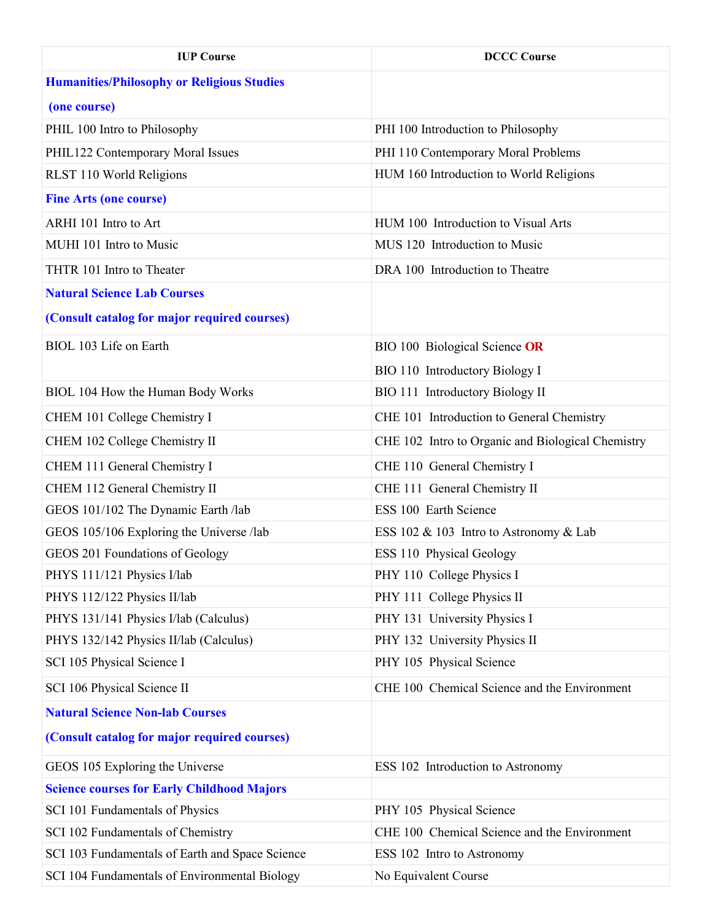| <b>IUP Course</b>                                 | <b>DCCC Course</b>                                |
|---------------------------------------------------|---------------------------------------------------|
| <b>Humanities/Philosophy or Religious Studies</b> |                                                   |
| (one course)                                      |                                                   |
| PHIL 100 Intro to Philosophy                      | PHI 100 Introduction to Philosophy                |
| PHIL122 Contemporary Moral Issues                 | PHI 110 Contemporary Moral Problems               |
| RLST 110 World Religions                          | HUM 160 Introduction to World Religions           |
| <b>Fine Arts (one course)</b>                     |                                                   |
| ARHI 101 Intro to Art                             | HUM 100 Introduction to Visual Arts               |
| MUHI 101 Intro to Music                           | MUS 120 Introduction to Music                     |
| THTR 101 Intro to Theater                         | DRA 100 Introduction to Theatre                   |
| <b>Natural Science Lab Courses</b>                |                                                   |
| (Consult catalog for major required courses)      |                                                   |
| BIOL 103 Life on Earth                            | BIO 100 Biological Science OR                     |
|                                                   | BIO 110 Introductory Biology I                    |
| BIOL 104 How the Human Body Works                 | <b>BIO 111 Introductory Biology II</b>            |
| CHEM 101 College Chemistry I                      | CHE 101 Introduction to General Chemistry         |
| CHEM 102 College Chemistry II                     | CHE 102 Intro to Organic and Biological Chemistry |
| CHEM 111 General Chemistry I                      | CHE 110 General Chemistry I                       |
| CHEM 112 General Chemistry II                     | CHE 111 General Chemistry II                      |
| GEOS 101/102 The Dynamic Earth /lab               | ESS 100 Earth Science                             |
| GEOS 105/106 Exploring the Universe /lab          | ESS 102 & 103 Intro to Astronomy & Lab            |
| GEOS 201 Foundations of Geology                   | ESS 110 Physical Geology                          |
| PHYS 111/121 Physics I/lab                        | PHY 110 College Physics I                         |
| PHYS 112/122 Physics II/lab                       | PHY 111 College Physics II                        |
| PHYS 131/141 Physics I/lab (Calculus)             | PHY 131 University Physics I                      |
| PHYS 132/142 Physics II/lab (Calculus)            | PHY 132 University Physics II                     |
| SCI 105 Physical Science I                        | PHY 105 Physical Science                          |
| SCI 106 Physical Science II                       | CHE 100 Chemical Science and the Environment      |
| <b>Natural Science Non-lab Courses</b>            |                                                   |
| (Consult catalog for major required courses)      |                                                   |
| GEOS 105 Exploring the Universe                   | ESS 102 Introduction to Astronomy                 |
| <b>Science courses for Early Childhood Majors</b> |                                                   |
| SCI 101 Fundamentals of Physics                   | PHY 105 Physical Science                          |
| SCI 102 Fundamentals of Chemistry                 | CHE 100 Chemical Science and the Environment      |
| SCI 103 Fundamentals of Earth and Space Science   | ESS 102 Intro to Astronomy                        |
| SCI 104 Fundamentals of Environmental Biology     | No Equivalent Course                              |